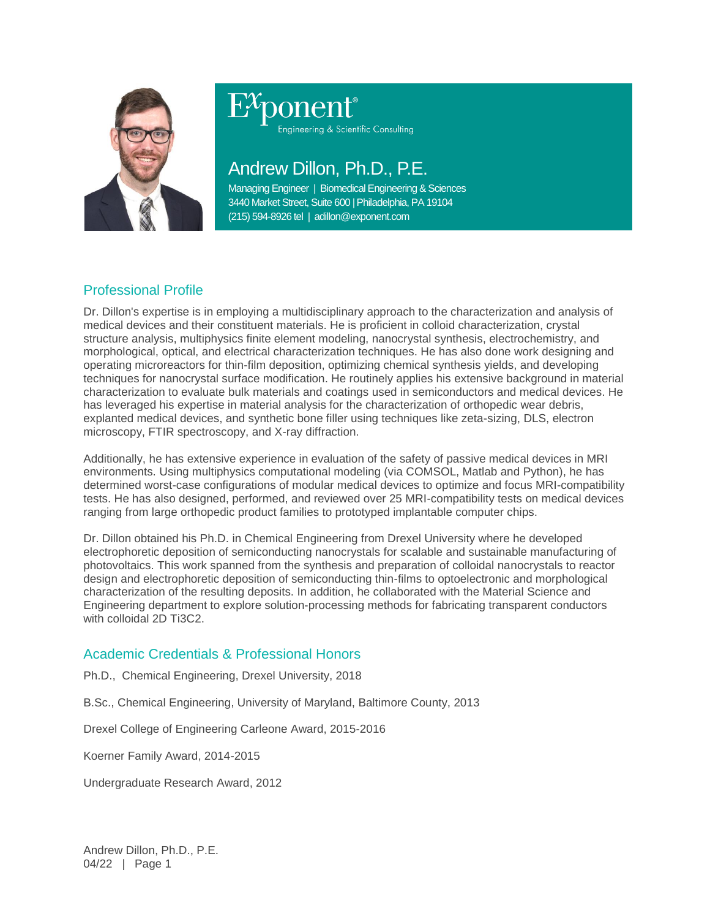

Engineering & Scientific Consulting

# Andrew Dillon, Ph.D., P.E.

Managing Engineer | Biomedical Engineering & Sciences 3440 Market Street, Suite 600 | Philadelphia, PA 19104 (215) 594-8926 tel | adillon@exponent.com

## Professional Profile

Dr. Dillon's expertise is in employing a multidisciplinary approach to the characterization and analysis of medical devices and their constituent materials. He is proficient in colloid characterization, crystal structure analysis, multiphysics finite element modeling, nanocrystal synthesis, electrochemistry, and morphological, optical, and electrical characterization techniques. He has also done work designing and operating microreactors for thin-film deposition, optimizing chemical synthesis yields, and developing techniques for nanocrystal surface modification. He routinely applies his extensive background in material characterization to evaluate bulk materials and coatings used in semiconductors and medical devices. He has leveraged his expertise in material analysis for the characterization of orthopedic wear debris, explanted medical devices, and synthetic bone filler using techniques like zeta-sizing, DLS, electron microscopy, FTIR spectroscopy, and X-ray diffraction.

Additionally, he has extensive experience in evaluation of the safety of passive medical devices in MRI environments. Using multiphysics computational modeling (via COMSOL, Matlab and Python), he has determined worst-case configurations of modular medical devices to optimize and focus MRI-compatibility tests. He has also designed, performed, and reviewed over 25 MRI-compatibility tests on medical devices ranging from large orthopedic product families to prototyped implantable computer chips.

Dr. Dillon obtained his Ph.D. in Chemical Engineering from Drexel University where he developed electrophoretic deposition of semiconducting nanocrystals for scalable and sustainable manufacturing of photovoltaics. This work spanned from the synthesis and preparation of colloidal nanocrystals to reactor design and electrophoretic deposition of semiconducting thin-films to optoelectronic and morphological characterization of the resulting deposits. In addition, he collaborated with the Material Science and Engineering department to explore solution-processing methods for fabricating transparent conductors with colloidal 2D Ti3C2.

### Academic Credentials & Professional Honors

Ph.D., Chemical Engineering, Drexel University, 2018

B.Sc., Chemical Engineering, University of Maryland, Baltimore County, 2013

Drexel College of Engineering Carleone Award, 2015-2016

Koerner Family Award, 2014-2015

Undergraduate Research Award, 2012

Andrew Dillon, Ph.D., P.E. 04/22 | Page 1